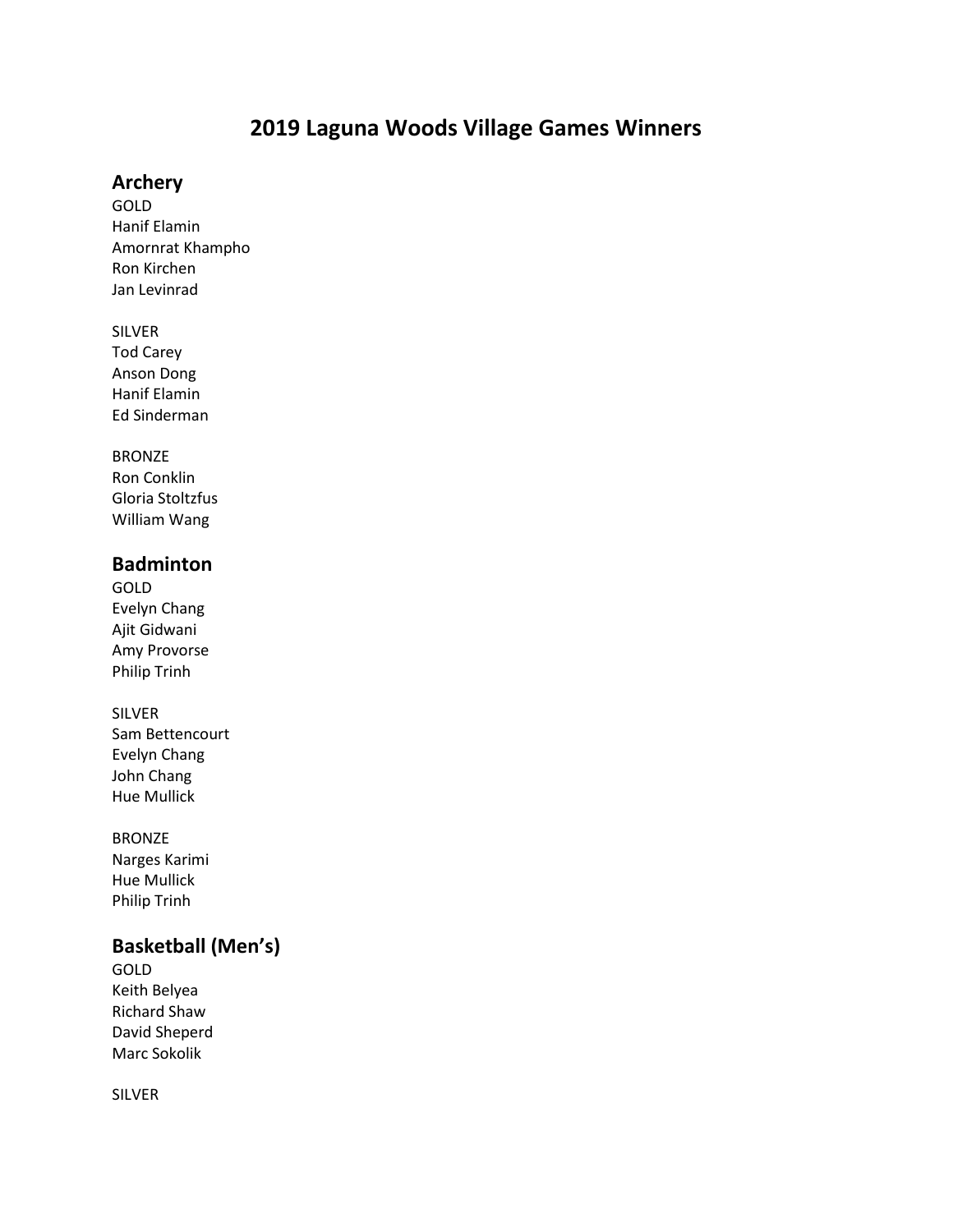# **2019 Laguna Woods Village Games Winners**

### **Archery**

GOLD Hanif Elamin Amornrat Khampho Ron Kirchen Jan Levinrad

#### SILVER

Tod Carey Anson Dong Hanif Elamin Ed Sinderman

#### BRONZE

Ron Conklin Gloria Stoltzfus William Wang

### **Badminton**

GOLD Evelyn Chang Ajit Gidwani Amy Provorse Philip Trinh

#### SILVER

Sam Bettencourt Evelyn Chang John Chang Hue Mullick

#### BRONZE

Narges Karimi Hue Mullick Philip Trinh

# **Basketball (Men's)**

GOLD Keith Belyea Richard Shaw David Sheperd Marc Sokolik

SILVER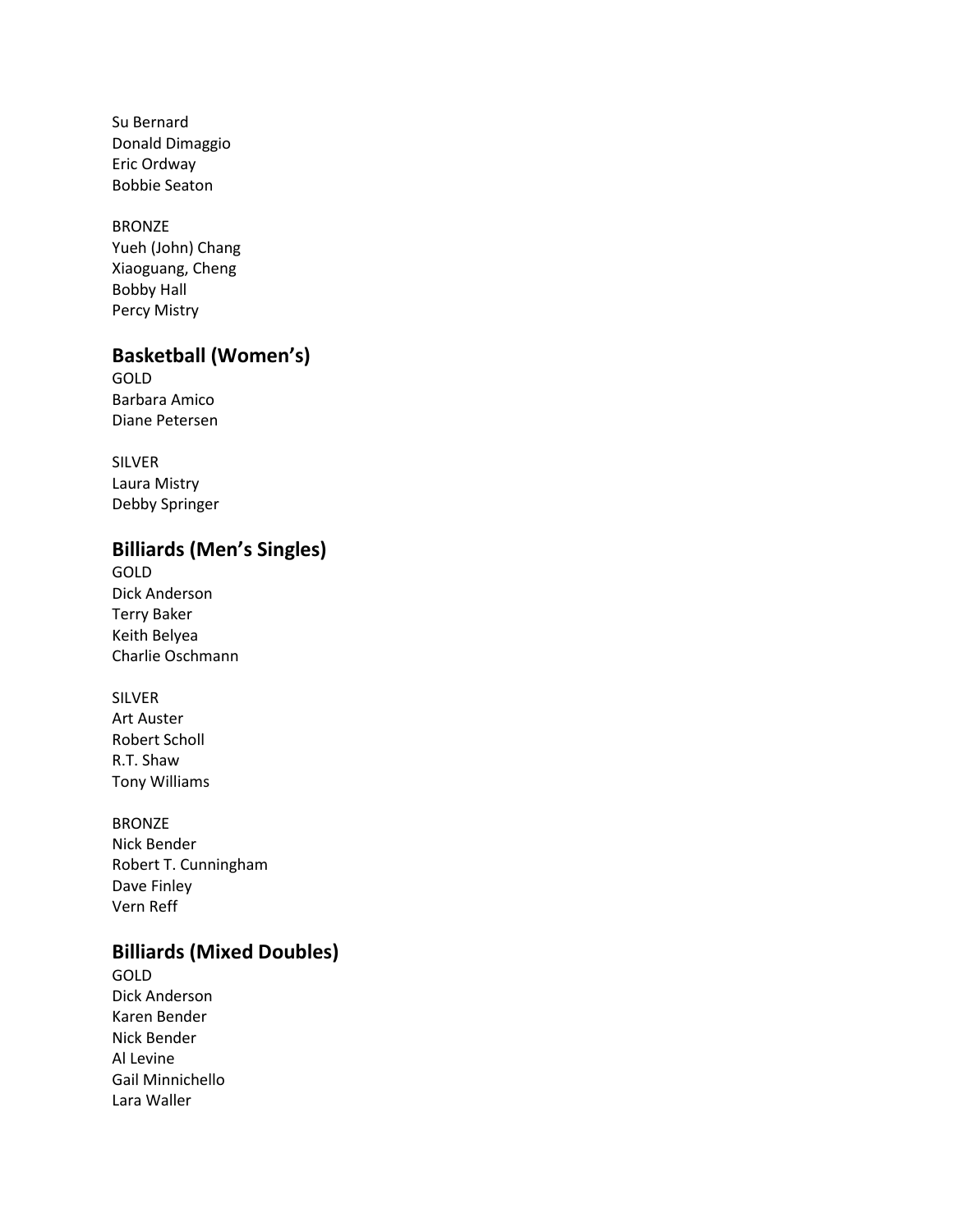Su Bernard Donald Dimaggio Eric Ordway Bobbie Seaton

# BRONZE

Yueh (John) Chang Xiaoguang, Cheng Bobby Hall Percy Mistry

## **Basketball (Women's)**

GOLD Barbara Amico Diane Petersen

SILVER Laura Mistry Debby Springer

# **Billiards (Men's Singles)**

GOLD Dick Anderson Terry Baker Keith Belyea Charlie Oschmann

SILVER Art Auster Robert Scholl R.T. Shaw Tony Williams

BRONZE Nick Bender Robert T. Cunningham Dave Finley Vern Reff

# **Billiards (Mixed Doubles)**

GOLD Dick Anderson Karen Bender Nick Bender Al Levine Gail Minnichello Lara Waller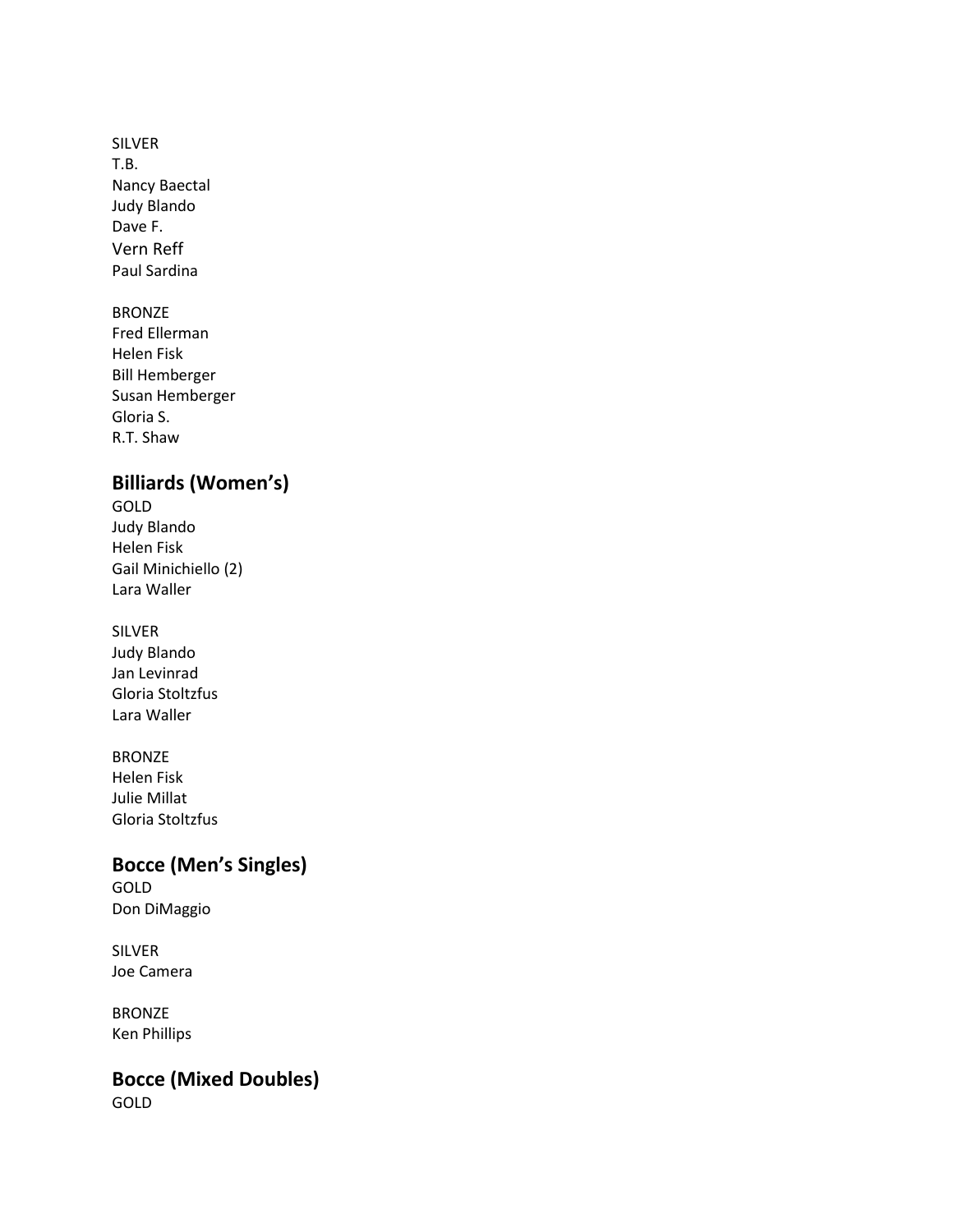SILVER T.B. Nancy Baectal Judy Blando Dave F. Vern Reff Paul Sardina

BRONZE Fred Ellerman Helen Fisk Bill Hemberger Susan Hemberger Gloria S. R.T. Shaw

# **Billiards (Women's)**

GOLD Judy Blando Helen Fisk Gail Minichiello (2) Lara Waller

SILVER Judy Blando Jan Levinrad Gloria Stoltzfus Lara Waller

BRONZE Helen Fisk Julie Millat Gloria Stoltzfus

# **Bocce (Men's Singles)**

GOLD Don DiMaggio

SILVER Joe Camera

BRONZE Ken Phillips

**Bocce (Mixed Doubles)**

GOLD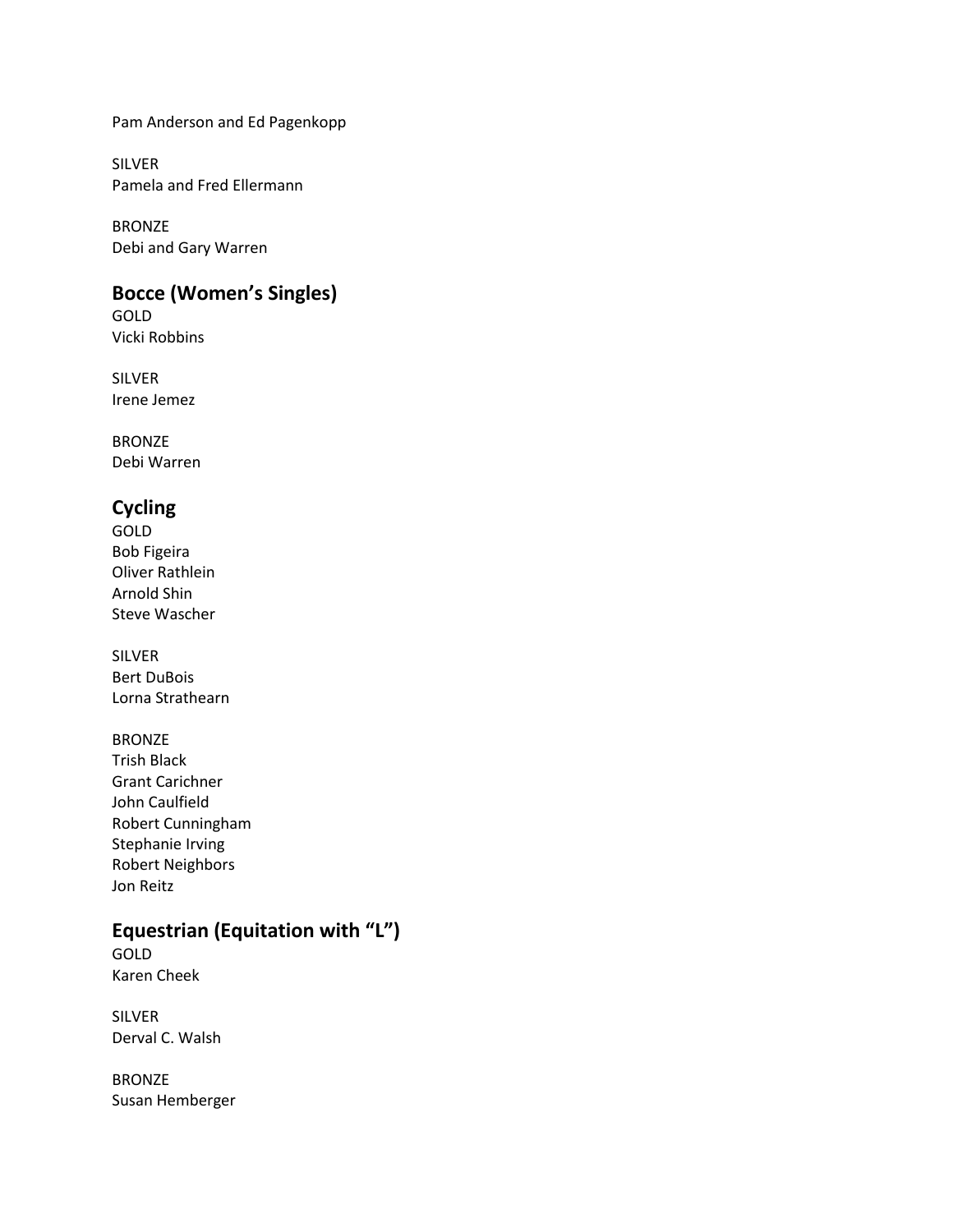Pam Anderson and Ed Pagenkopp

SILVER Pamela and Fred Ellermann

BRONZE Debi and Gary Warren

## **Bocce (Women's Singles)**

GOLD Vicki Robbins

SILVER Irene Jemez

BRONZE Debi Warren

## **Cycling**

GOLD Bob Figeira Oliver Rathlein Arnold Shin Steve Wascher

SILVER Bert DuBois Lorna Strathearn

### BRONZE

Trish Black Grant Carichner John Caulfield Robert Cunningham Stephanie Irving Robert Neighbors Jon Reitz

# **Equestrian (Equitation with "L")**

GOLD Karen Cheek

SILVER Derval C. Walsh

BRONZE Susan Hemberger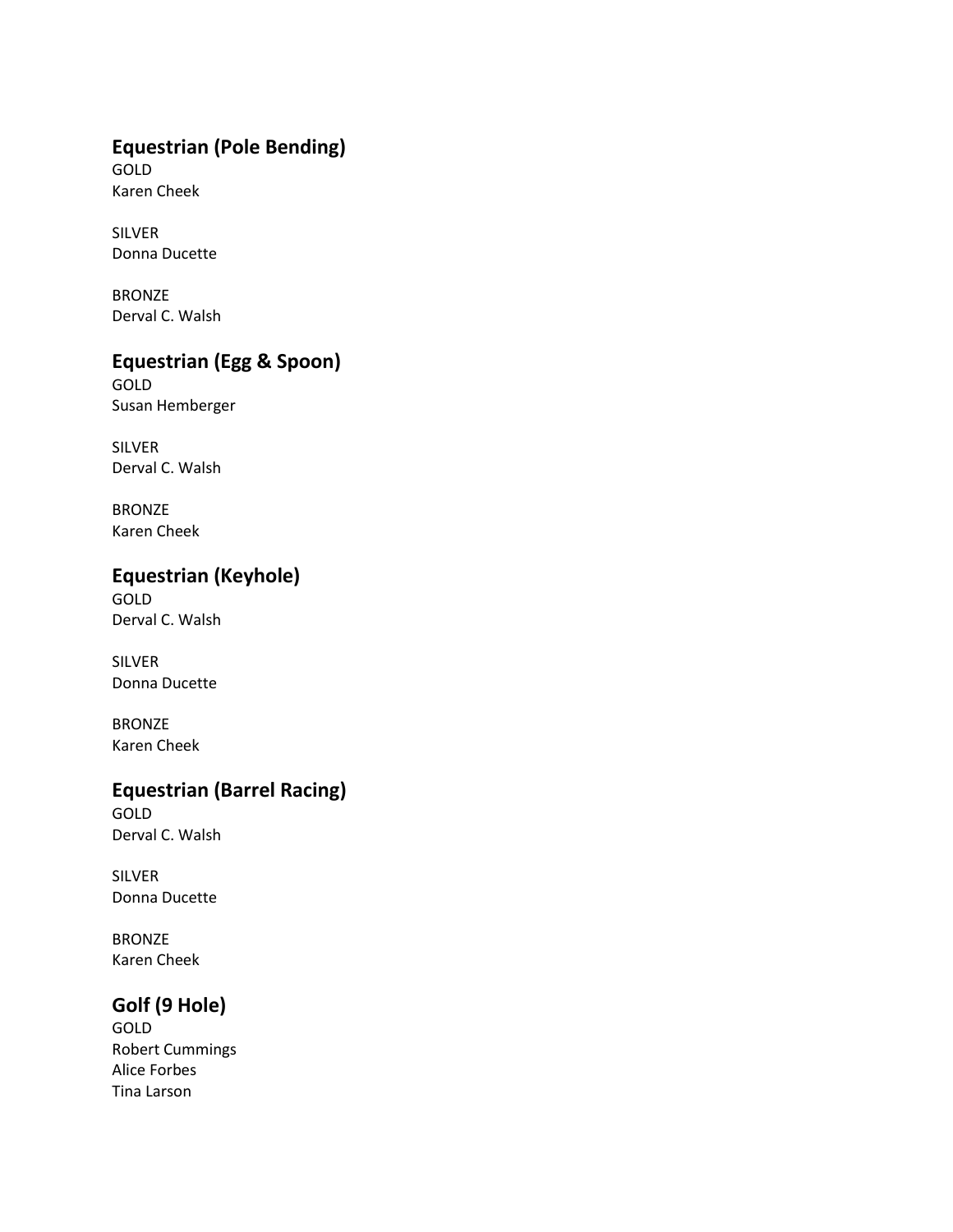## **Equestrian (Pole Bending)**

GOLD Karen Cheek

SILVER Donna Ducette

BRONZE Derval C. Walsh

# **Equestrian (Egg & Spoon)**

GOLD Susan Hemberger

SILVER Derval C. Walsh

BRONZE Karen Cheek

# **Equestrian (Keyhole)**

GOLD Derval C. Walsh

SILVER Donna Ducette

BRONZE Karen Cheek

## **Equestrian (Barrel Racing)**

GOLD Derval C. Walsh

SILVER Donna Ducette

BRONZE Karen Cheek

# **Golf (9 Hole)**

GOLD Robert Cummings Alice Forbes Tina Larson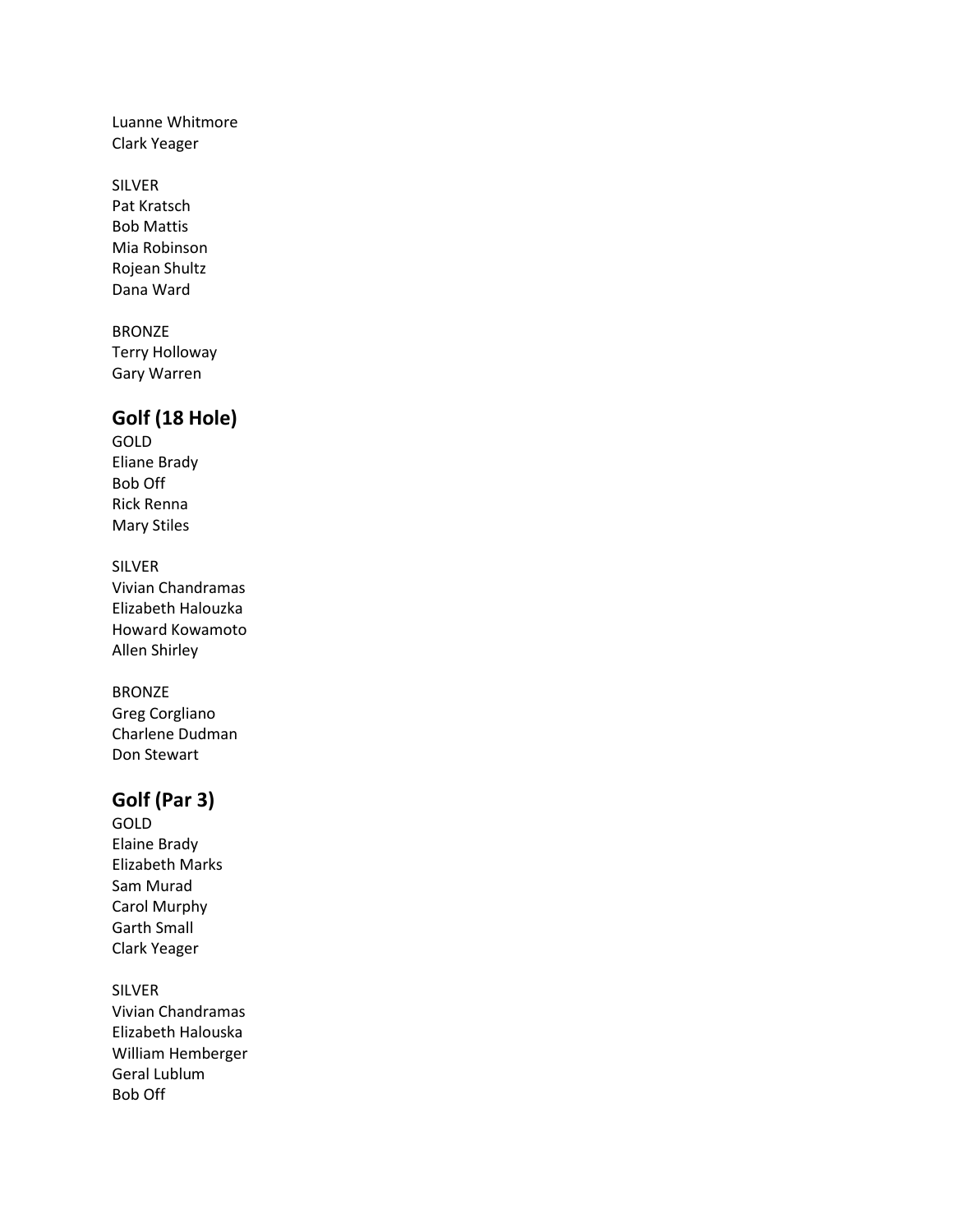Luanne Whitmore Clark Yeager

SILVER Pat Kratsch Bob Mattis Mia Robinson Rojean Shultz Dana Ward

BRONZE Terry Holloway Gary Warren

### **Golf (18 Hole)**

GOLD Eliane Brady Bob Off Rick Renna Mary Stiles

SILVER Vivian Chandramas Elizabeth Halouzka Howard Kowamoto Allen Shirley

BRONZE Greg Corgliano Charlene Dudman Don Stewart

## **Golf (Par 3)**

GOLD Elaine Brady Elizabeth Marks Sam Murad Carol Murphy Garth Small Clark Yeager

SILVER Vivian Chandramas Elizabeth Halouska William Hemberger Geral Lublum Bob Off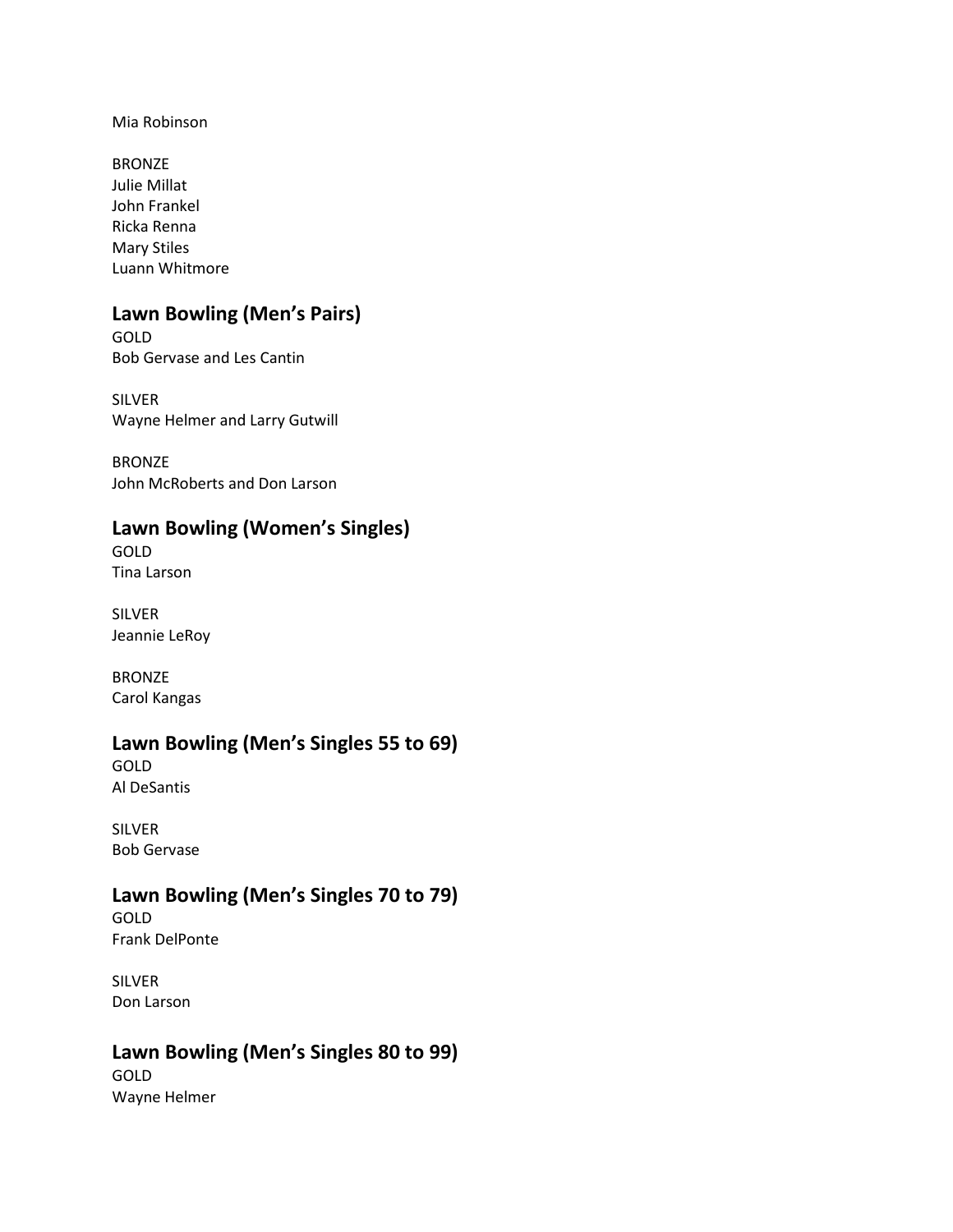Mia Robinson

BRONZE Julie Millat John Frankel Ricka Renna Mary Stiles Luann Whitmore

# **Lawn Bowling (Men's Pairs)**

GOLD Bob Gervase and Les Cantin

SILVER Wayne Helmer and Larry Gutwill

BRONZE John McRoberts and Don Larson

### **Lawn Bowling (Women's Singles)**

GOLD Tina Larson

SILVER Jeannie LeRoy

BRONZE Carol Kangas

### **Lawn Bowling (Men's Singles 55 to 69)**

GOLD Al DeSantis

SILVER Bob Gervase

## **Lawn Bowling (Men's Singles 70 to 79)**

GOLD Frank DelPonte

SILVER Don Larson

### **Lawn Bowling (Men's Singles 80 to 99)**

GOLD Wayne Helmer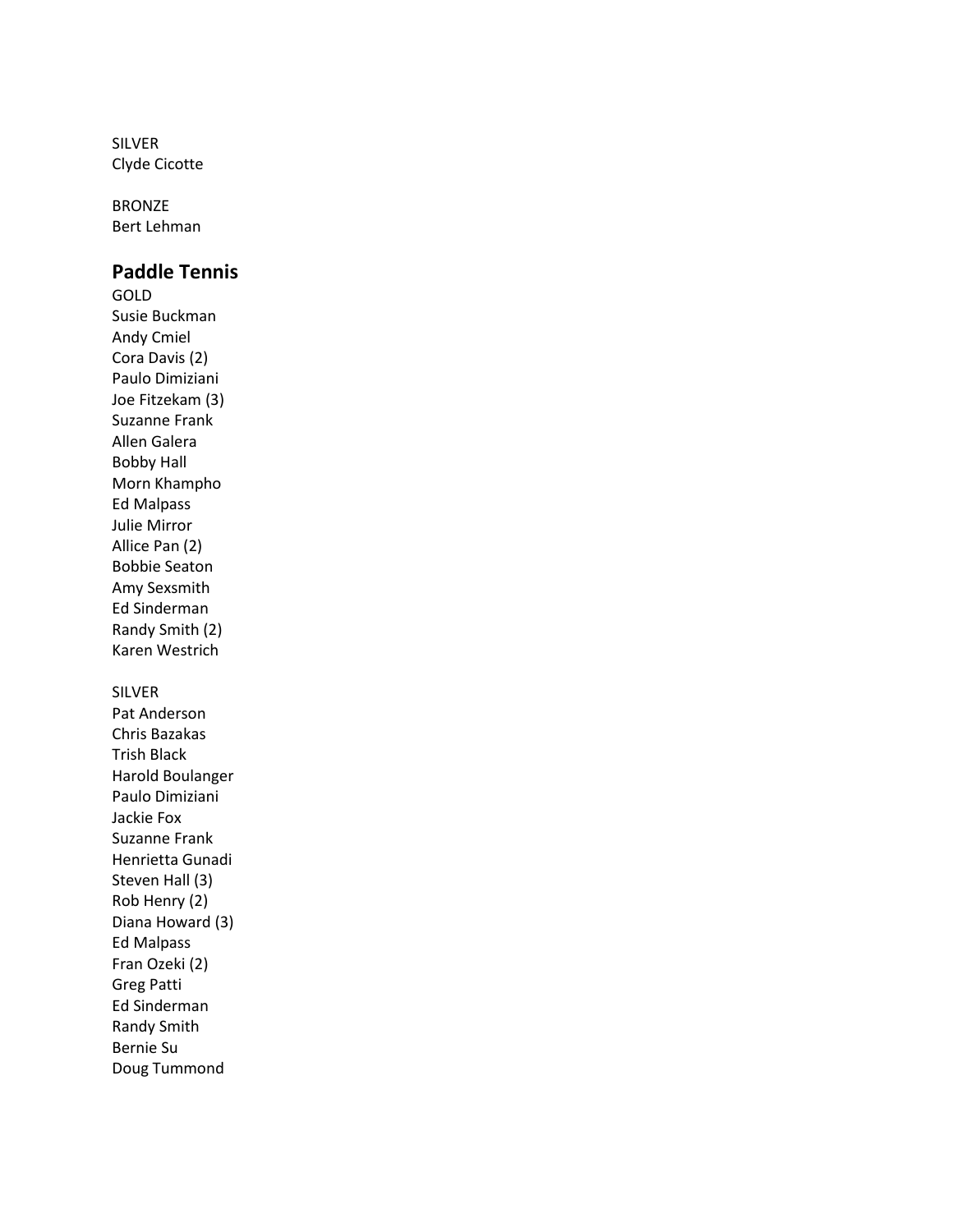SILVER Clyde Cicotte

BRONZE Bert Lehman

### **Paddle Tennis**

GOLD Susie Buckman Andy Cmiel Cora Davis (2) Paulo Dimiziani Joe Fitzekam (3) Suzanne Frank Allen Galera Bobby Hall Morn Khampho Ed Malpass Julie Mirror Allice Pan (2) Bobbie Seaton Amy Sexsmith Ed Sinderman Randy Smith (2) Karen Westrich

#### SILVER

Pat Anderson Chris Bazakas Trish Black Harold Boulanger Paulo Dimiziani Jackie Fox Suzanne Frank Henrietta Gunadi Steven Hall (3) Rob Henry (2) Diana Howard (3) Ed Malpass Fran Ozeki (2) Greg Patti Ed Sinderman Randy Smith Bernie Su Doug Tummond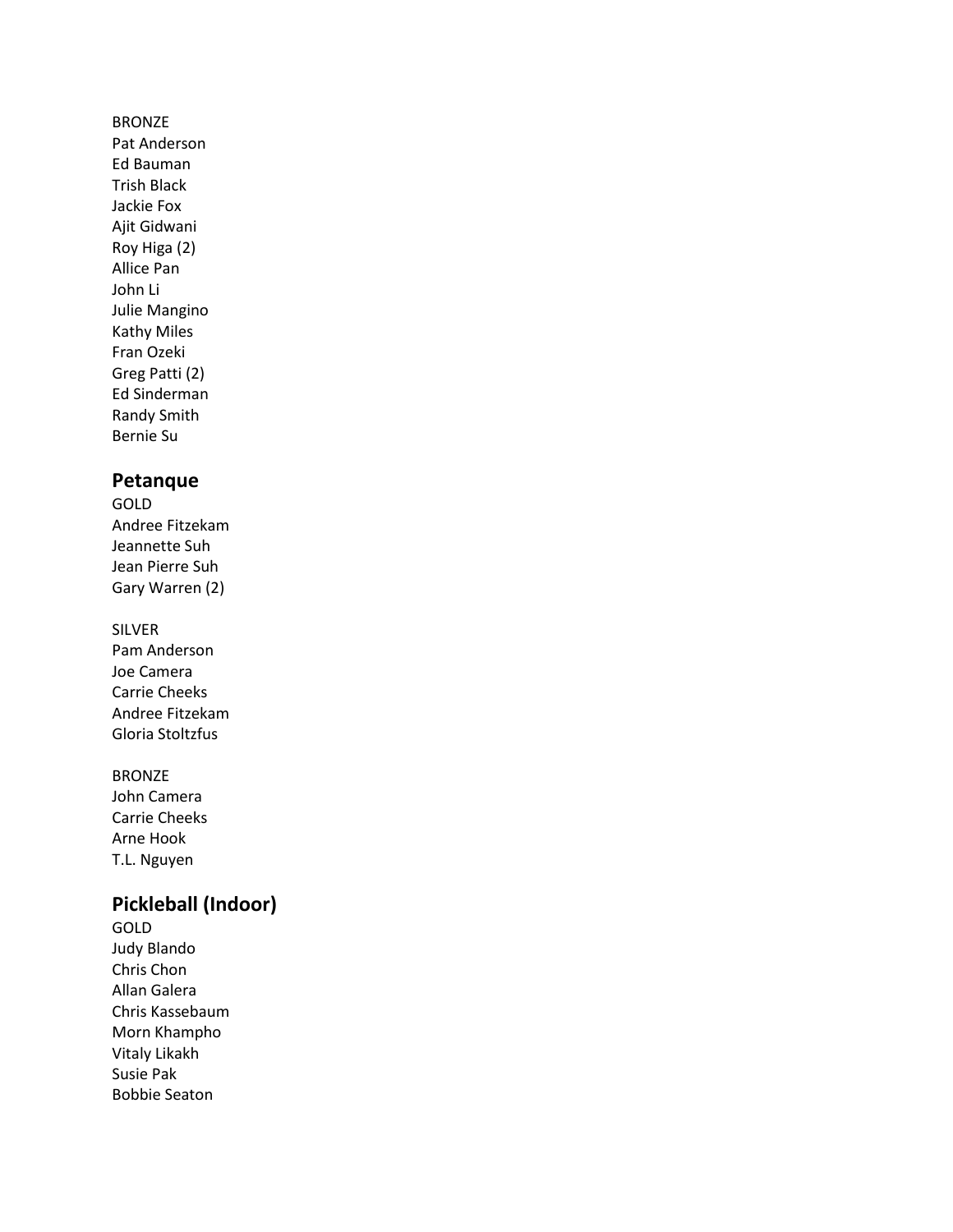#### BRONZE

Pat Anderson Ed Bauman Trish Black Jackie Fox Ajit Gidwani Roy Higa (2) Allice Pan John Li Julie Mangino Kathy Miles Fran Ozeki Greg Patti (2) Ed Sinderman Randy Smith Bernie Su

### **Petanque**

GOLD Andree Fitzekam Jeannette Suh Jean Pierre Suh Gary Warren (2)

#### SILVER

Pam Anderson Joe Camera Carrie Cheeks Andree Fitzekam Gloria Stoltzfus

BRONZE John Camera Carrie Cheeks Arne Hook T.L. Nguyen

### **Pickleball (Indoor)**

GOLD Judy Blando Chris Chon Allan Galera Chris Kassebaum Morn Khampho Vitaly Likakh Susie Pak Bobbie Seaton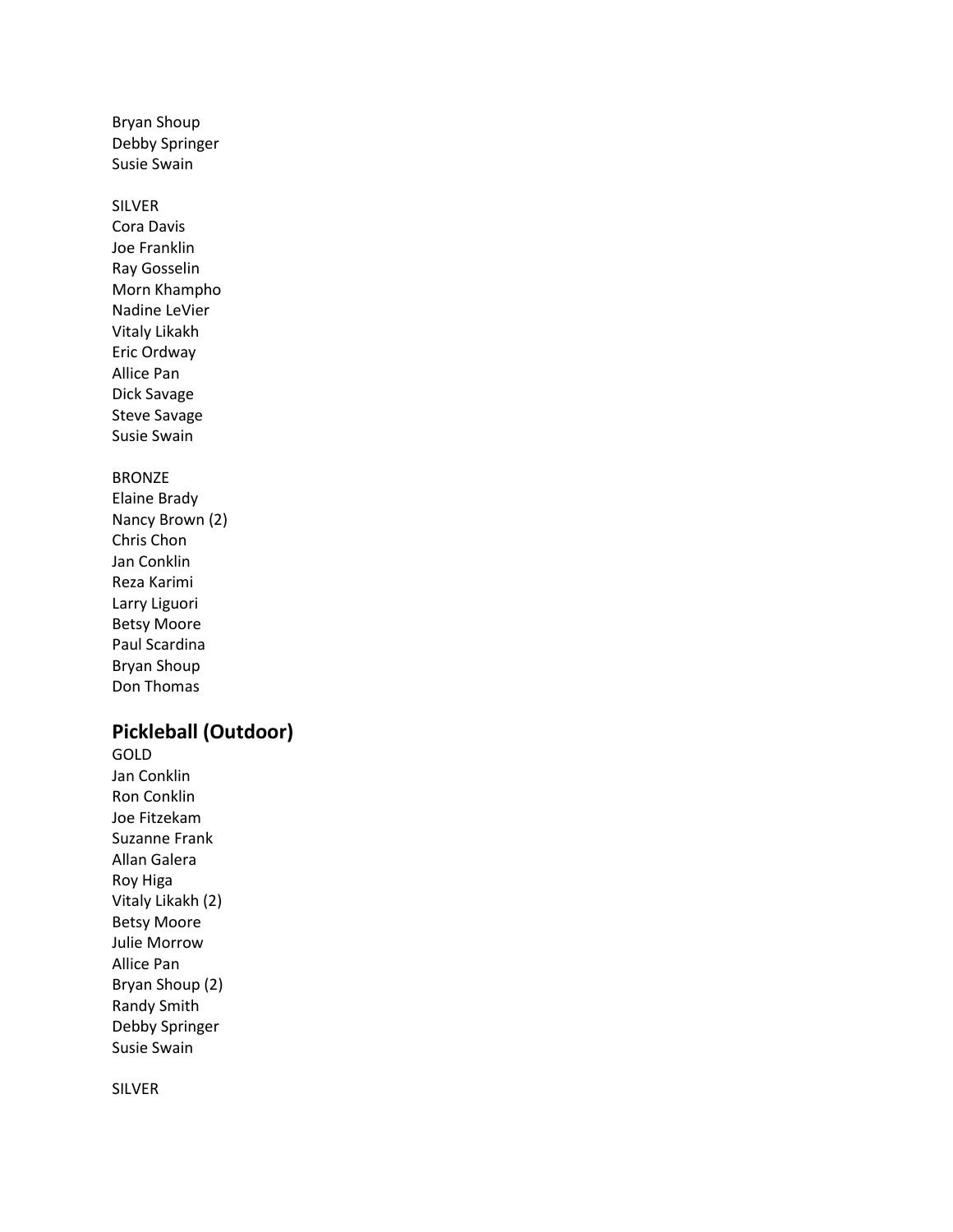Bryan Shoup Debby Springer Susie Swain

#### SILVER

Cora Davis Joe Franklin Ray Gosselin Morn Khampho Nadine LeVier Vitaly Likakh Eric Ordway Allice Pan Dick Savage Steve Savage Susie Swain

#### BRONZE

Elaine Brady Nancy Brown (2) Chris Chon Jan Conklin Reza Karimi Larry Liguori Betsy Moore Paul Scardina Bryan Shoup Don Thomas

### **Pickleball (Outdoor)**

GOLD Jan Conklin Ron Conklin Joe Fitzekam Suzanne Frank Allan Galera Roy Higa Vitaly Likakh (2) Betsy Moore Julie Morrow Allice Pan Bryan Shoup (2) Randy Smith Debby Springer Susie Swain

SILVER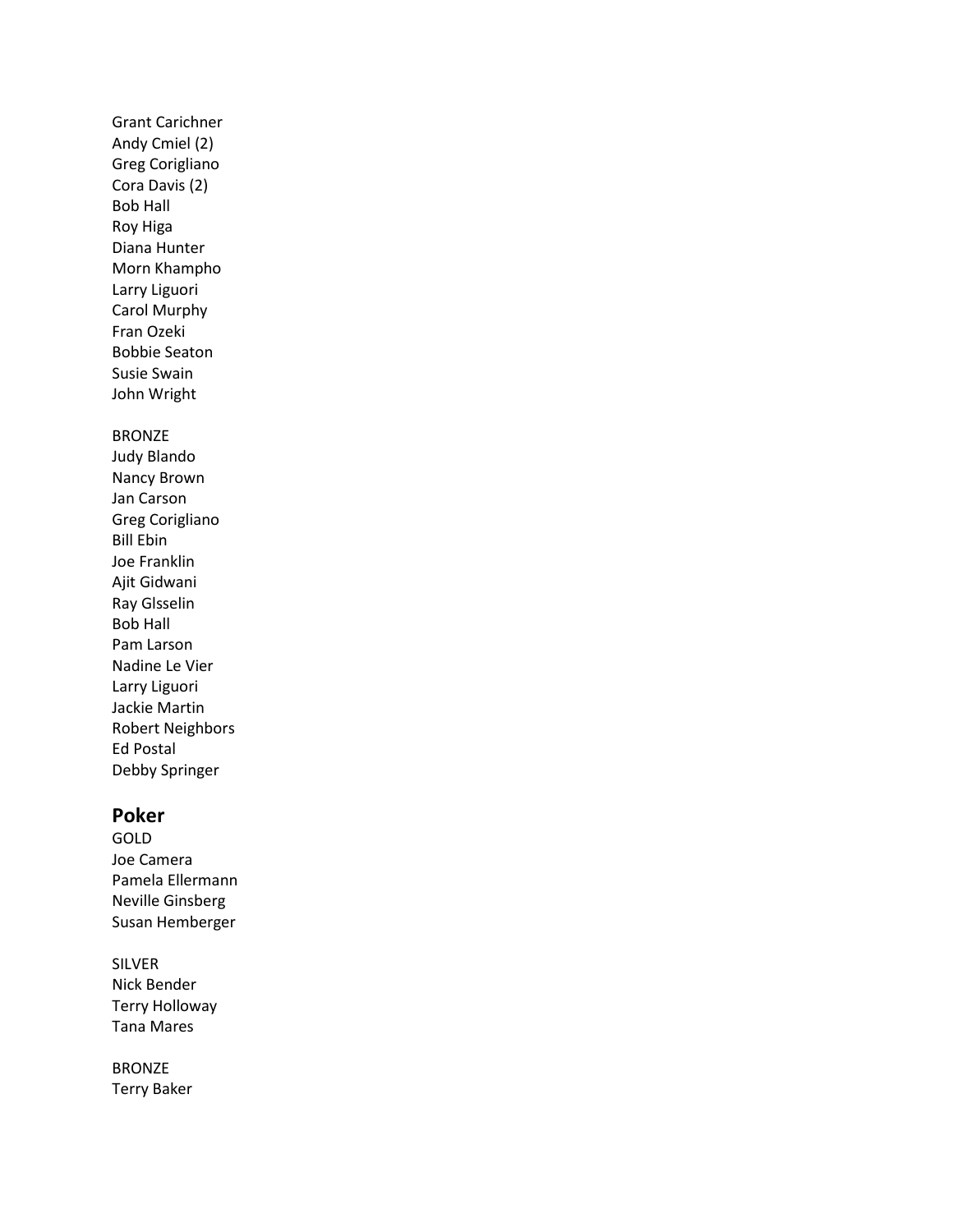### Grant Carichner Andy Cmiel (2) Greg Corigliano Cora Davis (2) Bob Hall Roy Higa Diana Hunter Morn Khampho Larry Liguori Carol Murphy Fran Ozeki Bobbie Seaton Susie Swain John Wright

#### BRONZE

Judy Blando Nancy Brown Jan Carson Greg Corigliano Bill Ebin Joe Franklin Ajit Gidwani Ray Glsselin Bob Hall Pam Larson Nadine Le Vier Larry Liguori Jackie Martin Robert Neighbors Ed Postal Debby Springer

### **Poker**

GOLD Joe Camera Pamela Ellermann Neville Ginsberg Susan Hemberger

SILVER Nick Bender Terry Holloway Tana Mares

BRONZE Terry Baker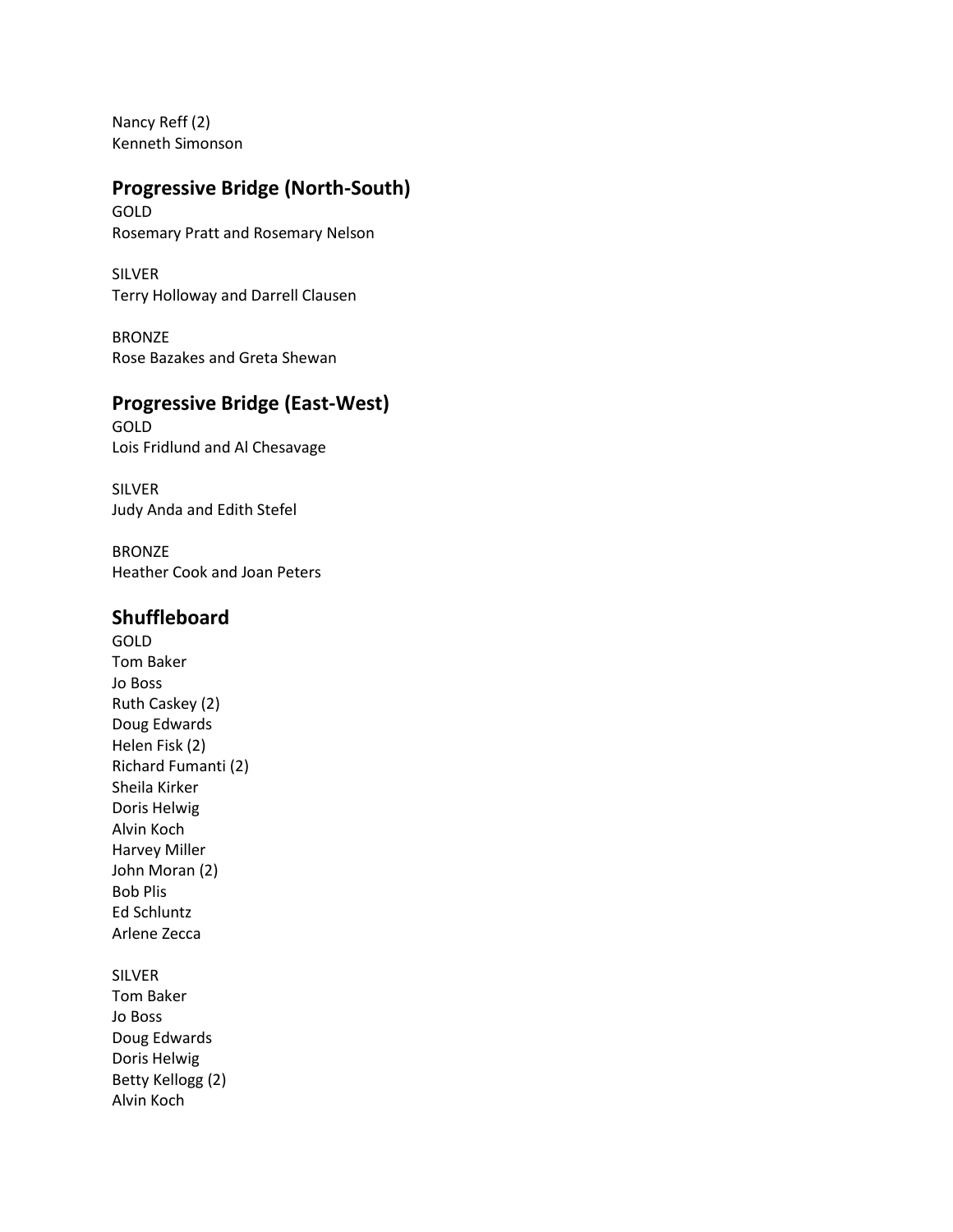Nancy Reff (2) Kenneth Simonson

## **Progressive Bridge (North-South)**

GOLD Rosemary Pratt and Rosemary Nelson

SILVER Terry Holloway and Darrell Clausen

BRONZE Rose Bazakes and Greta Shewan

### **Progressive Bridge (East-West)**

GOLD Lois Fridlund and Al Chesavage

SILVER Judy Anda and Edith Stefel

BRONZE Heather Cook and Joan Peters

### **Shuffleboard**

GOLD Tom Baker Jo Boss Ruth Caskey (2) Doug Edwards Helen Fisk (2) Richard Fumanti (2) Sheila Kirker Doris Helwig Alvin Koch Harvey Miller John Moran (2) Bob Plis Ed Schluntz Arlene Zecca

### SILVER

Tom Baker Jo Boss Doug Edwards Doris Helwig Betty Kellogg (2) Alvin Koch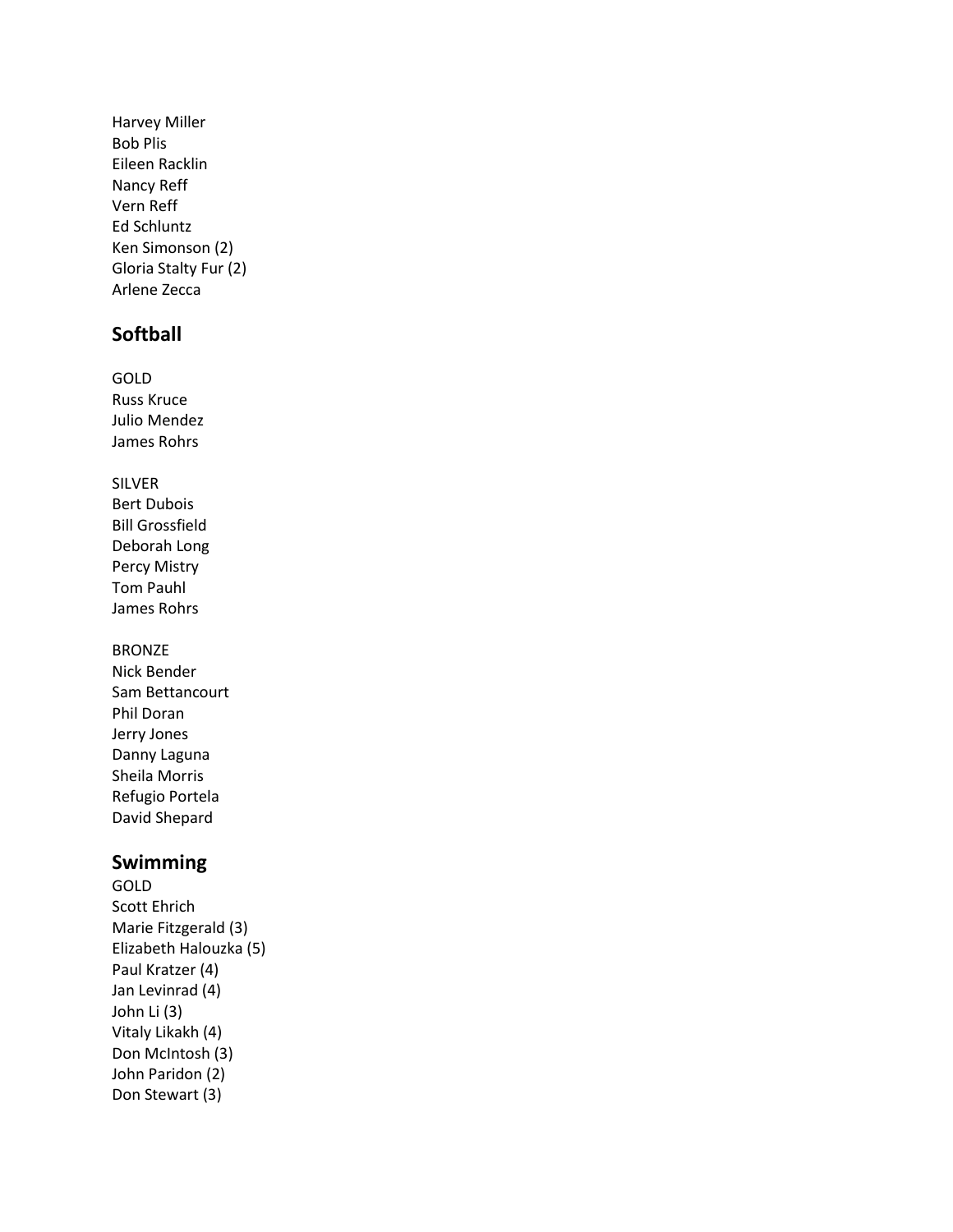Harvey Miller Bob Plis Eileen Racklin Nancy Reff Vern Reff Ed Schluntz Ken Simonson (2) Gloria Stalty Fur (2) Arlene Zecca

### **Softball**

GOLD Russ Kruce Julio Mendez James Rohrs

SILVER Bert Dubois Bill Grossfield Deborah Long Percy Mistry Tom Pauhl James Rohrs

#### BRONZE

Nick Bender Sam Bettancourt Phil Doran Jerry Jones Danny Laguna Sheila Morris Refugio Portela David Shepard

### **Swimming**

GOLD Scott Ehrich Marie Fitzgerald (3) Elizabeth Halouzka (5) Paul Kratzer (4) Jan Levinrad (4) John Li (3) Vitaly Likakh (4) Don McIntosh (3) John Paridon (2) Don Stewart (3)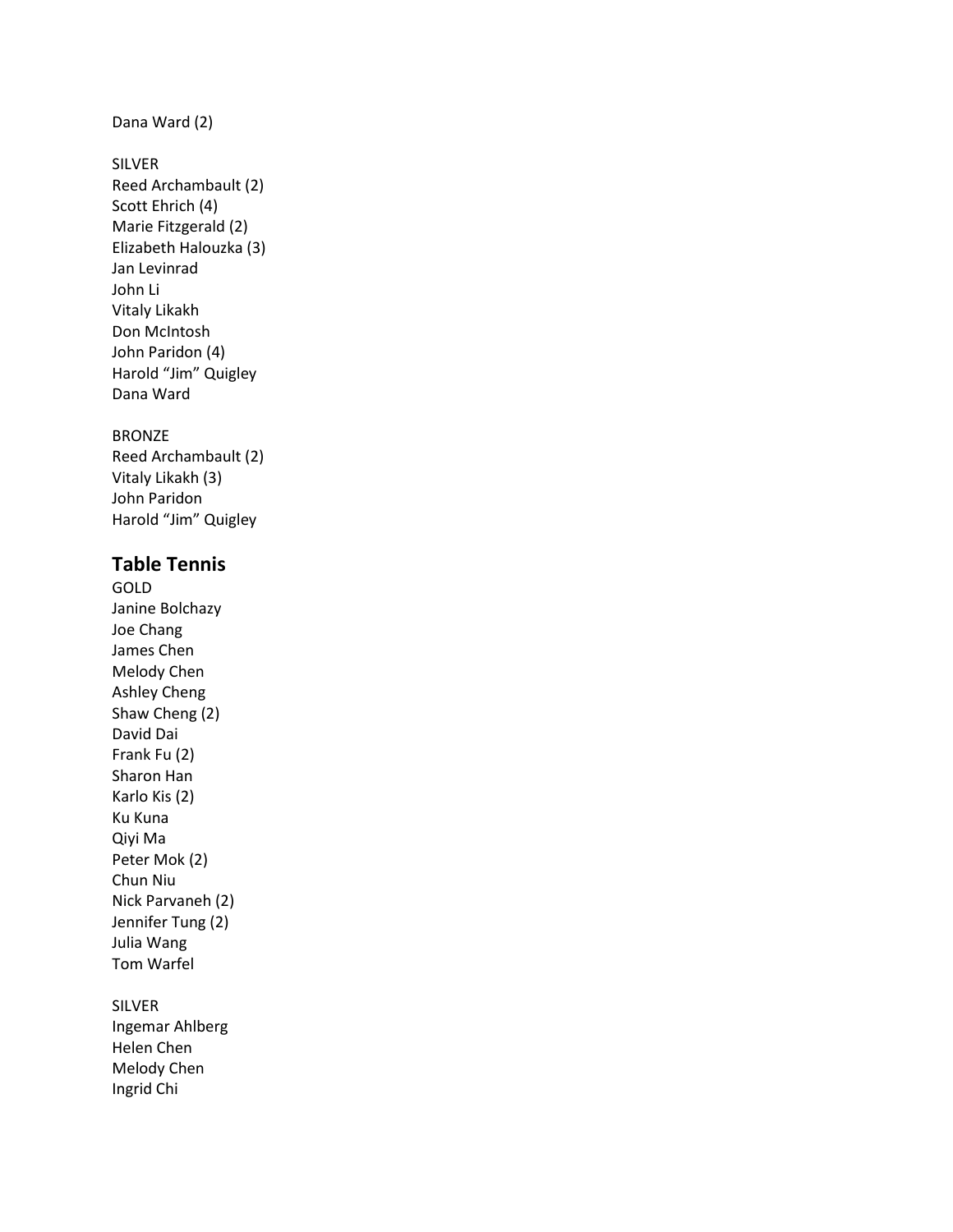#### Dana Ward (2)

#### SILVER

Reed Archambault (2) Scott Ehrich (4) Marie Fitzgerald (2) Elizabeth Halouzka (3) Jan Levinrad John Li Vitaly Likakh Don McIntosh John Paridon (4) Harold "Jim" Quigley Dana Ward

#### BRONZE

Reed Archambault (2) Vitaly Likakh (3) John Paridon Harold "Jim" Quigley

### **Table Tennis**

GOLD Janine Bolchazy Joe Chang James Chen Melody Chen Ashley Cheng Shaw Cheng (2) David Dai Frank Fu (2) Sharon Han Karlo Kis (2) Ku Kuna Qiyi Ma Peter Mok (2) Chun Niu Nick Parvaneh (2) Jennifer Tung (2) Julia Wang Tom Warfel

#### SILVER

Ingemar Ahlberg Helen Chen Melody Chen Ingrid Chi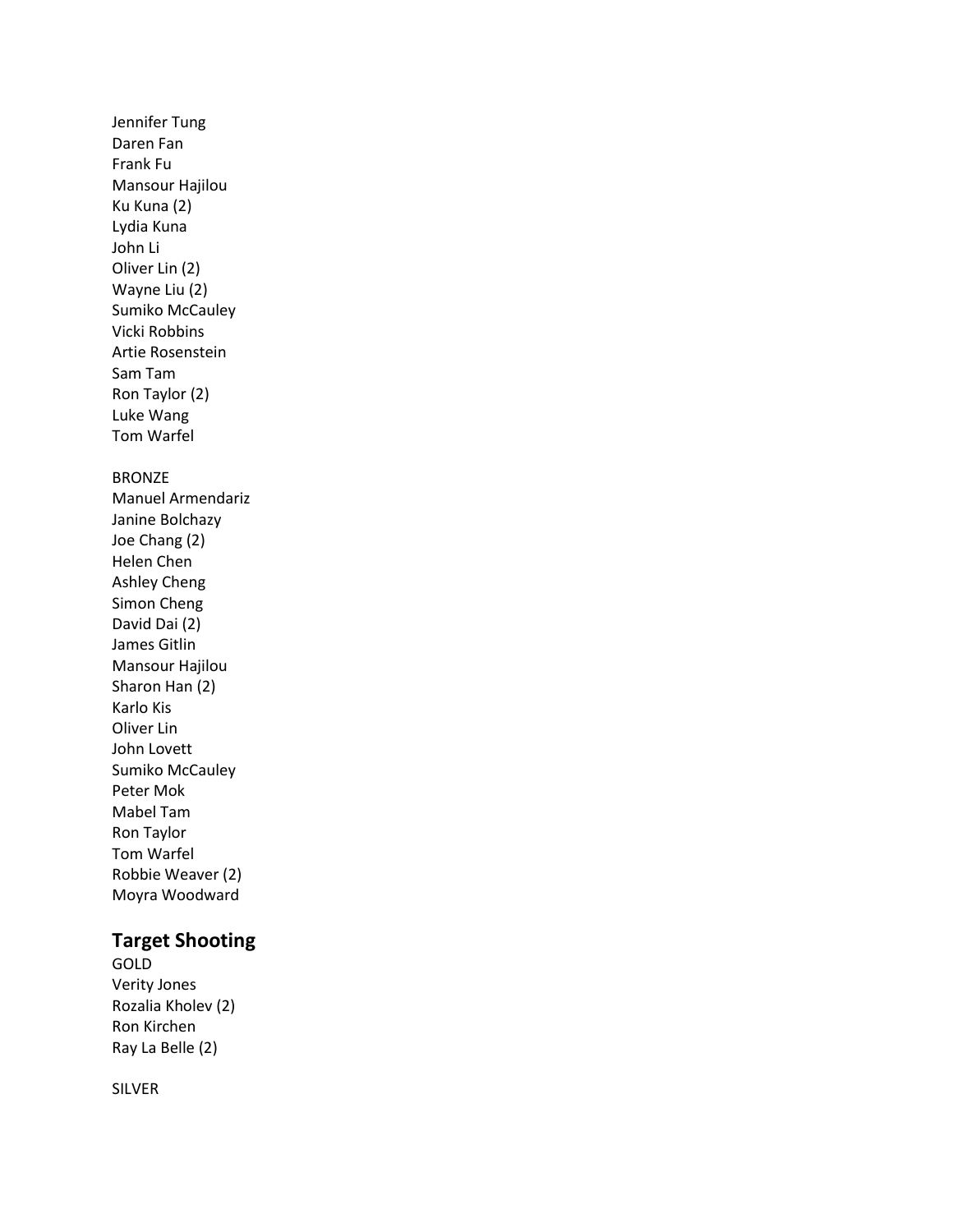Jennifer Tung Daren Fan Frank Fu Mansour Hajilou Ku Kuna (2) Lydia Kuna John Li Oliver Lin (2) Wayne Liu (2) Sumiko McCauley Vicki Robbins Artie Rosenstein Sam Tam Ron Taylor (2) Luke Wang Tom Warfel

#### BRONZE

Manuel Armendariz Janine Bolchazy Joe Chang (2) Helen Chen Ashley Cheng Simon Cheng David Dai (2) James Gitlin Mansour Hajilou Sharon Han (2) Karlo Kis Oliver Lin John Lovett Sumiko McCauley Peter Mok Mabel Tam Ron Taylor Tom Warfel Robbie Weaver (2) Moyra Woodward

### **Target Shooting**

GOLD Verity Jones Rozalia Kholev (2) Ron Kirchen Ray La Belle (2)

SILVER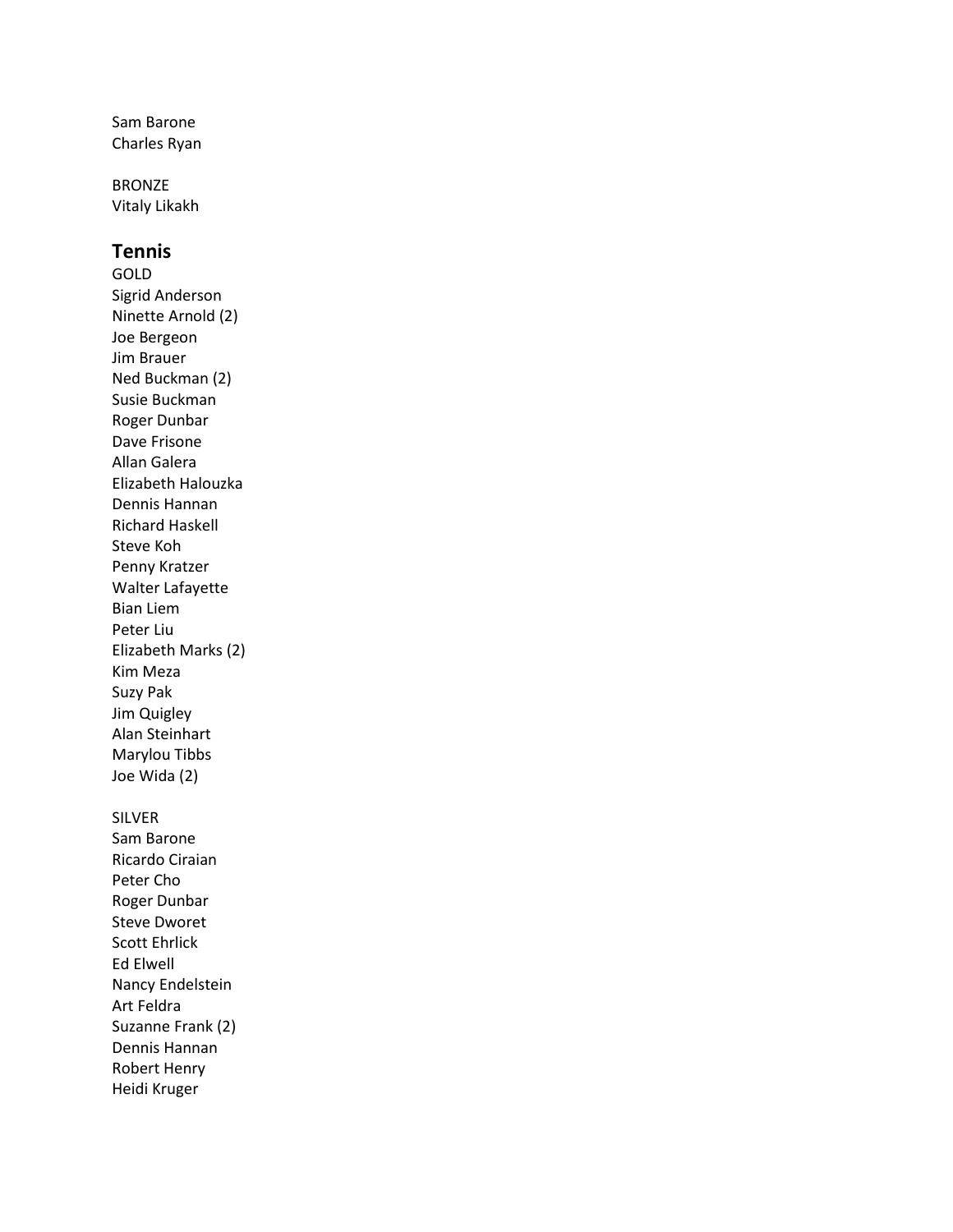Sam Barone Charles Ryan

BRONZE Vitaly Likakh

### **Tennis**

GOLD Sigrid Anderson Ninette Arnold (2) Joe Bergeon Jim Brauer Ned Buckman (2) Susie Buckman Roger Dunbar Dave Frisone Allan Galera Elizabeth Halouzka Dennis Hannan Richard Haskell Steve Koh Penny Kratzer Walter Lafayette Bian Liem Peter Liu Elizabeth Marks (2) Kim Meza Suzy Pak Jim Quigley Alan Steinhart Marylou Tibbs Joe Wida (2)

#### SILVER

Sam Barone Ricardo Ciraian Peter Cho Roger Dunbar Steve Dworet Scott Ehrlick Ed Elwell Nancy Endelstein Art Feldra Suzanne Frank (2) Dennis Hannan Robert Henry Heidi Kruger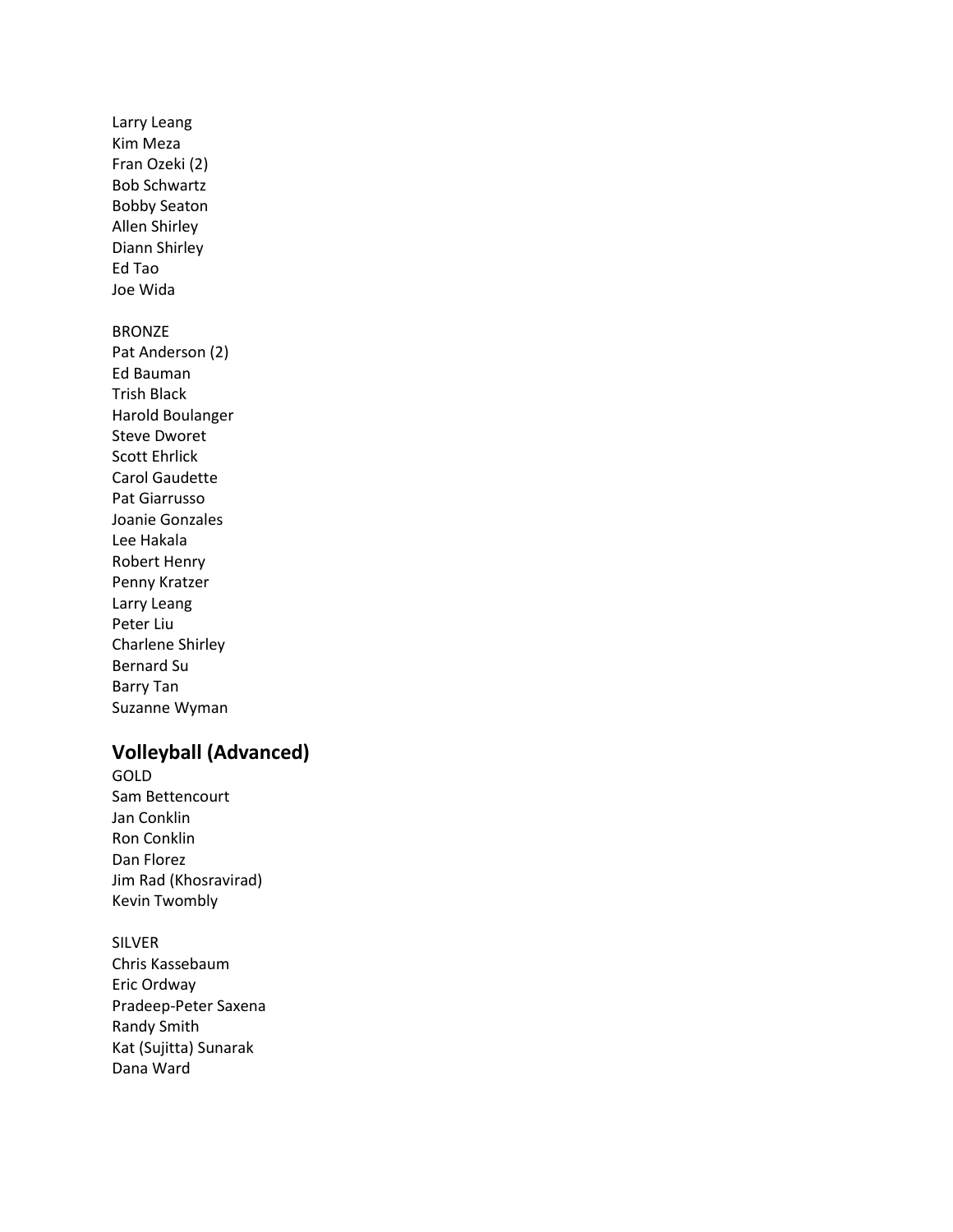Larry Leang Kim Meza Fran Ozeki (2) Bob Schwartz Bobby Seaton Allen Shirley Diann Shirley Ed Tao Joe Wida

#### BRONZE

Pat Anderson (2) Ed Bauman Trish Black Harold Boulanger Steve Dworet Scott Ehrlick Carol Gaudette Pat Giarrusso Joanie Gonzales Lee Hakala Robert Henry Penny Kratzer Larry Leang Peter Liu Charlene Shirley Bernard Su Barry Tan Suzanne Wyman

## **Volleyball (Advanced)**

- GOLD Sam Bettencourt Jan Conklin Ron Conklin Dan Florez Jim Rad (Khosravirad) Kevin Twombly
- SILVER Chris Kassebaum Eric Ordway Pradeep-Peter Saxena Randy Smith Kat (Sujitta) Sunarak Dana Ward